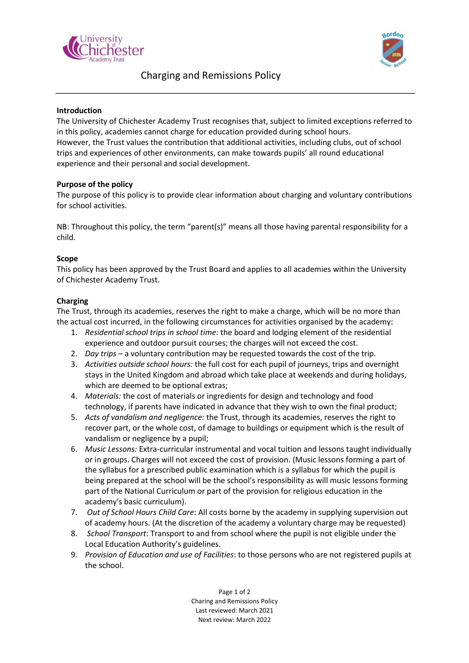



# Charging and Remissions Policy

## **Introduction**

The University of Chichester Academy Trust recognises that, subject to limited exceptions referred to in this policy, academies cannot charge for education provided during school hours. However, the Trust values the contribution that additional activities, including clubs, out of school trips and experiences of other environments, can make towards pupils' all round educational experience and their personal and social development.

#### **Purpose of the policy**

The purpose of this policy is to provide clear information about charging and voluntary contributions for school activities.

NB: Throughout this policy, the term "parent(s)" means all those having parental responsibility for a child.

#### **Scope**

This policy has been approved by the Trust Board and applies to all academies within the University of Chichester Academy Trust.

#### **Charging**

The Trust, through its academies, reserves the right to make a charge, which will be no more than the actual cost incurred, in the following circumstances for activities organised by the academy:

- 1. *Residential school trips in school time:* the board and lodging element of the residential experience and outdoor pursuit courses; the charges will not exceed the cost.
- 2. *Day trips* a voluntary contribution may be requested towards the cost of the trip.
- 3. *Activities outside school hours:* the full cost for each pupil of journeys, trips and overnight stays in the United Kingdom and abroad which take place at weekends and during holidays, which are deemed to be optional extras;
- 4. *Materials:* the cost of materials or ingredients for design and technology and food technology, if parents have indicated in advance that they wish to own the final product;
- 5. *Acts of vandalism and negligence:* the Trust, through its academies, reserves the right to recover part, or the whole cost, of damage to buildings or equipment which is the result of vandalism or negligence by a pupil;
- 6. *Music Lessons:* Extra-curricular instrumental and vocal tuition and lessons taught individually or in groups. Charges will not exceed the cost of provision. (Music lessons forming a part of the syllabus for a prescribed public examination which is a syllabus for which the pupil is being prepared at the school will be the school's responsibility as will music lessons forming part of the National Curriculum or part of the provision for religious education in the academy's basic curriculum).
- 7. *Out of School Hours Child Care*: All costs borne by the academy in supplying supervision out of academy hours. (At the discretion of the academy a voluntary charge may be requested)
- 8. *School Transport*: Transport to and from school where the pupil is not eligible under the Local Education Authority's guidelines.
- 9. *Provision of Education and use of Facilities*: to those persons who are not registered pupils at the school.

Page 1 of 2 Charing and Remissions Policy Last reviewed: March 2021 Next review: March 2022